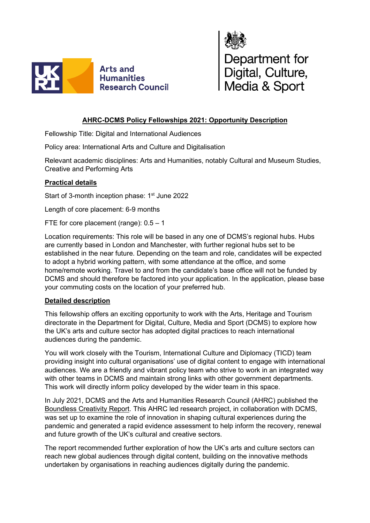



# **AHRC-DCMS Policy Fellowships 2021: Opportunity Description**

Fellowship Title: Digital and International Audiences

Policy area: International Arts and Culture and Digitalisation

Relevant academic disciplines: Arts and Humanities, notably Cultural and Museum Studies, Creative and Performing Arts

## **Practical details**

Start of 3-month inception phase: 1<sup>st</sup> June 2022

Length of core placement: 6-9 months

FTE for core placement (range): 0.5 – 1

Location requirements: This role will be based in any one of DCMS's regional hubs. Hubs are currently based in London and Manchester, with further regional hubs set to be established in the near future. Depending on the team and role, candidates will be expected to adopt a hybrid working pattern, with some attendance at the office, and some home/remote working. Travel to and from the candidate's base office will not be funded by DCMS and should therefore be factored into your application. In the application, please base your commuting costs on the location of your preferred hub.

#### **Detailed description**

This fellowship offers an exciting opportunity to work with the Arts, Heritage and Tourism directorate in the Department for Digital, Culture, Media and Sport (DCMS) to explore how the UK's arts and culture sector has adopted digital practices to reach international audiences during the pandemic.

You will work closely with the Tourism, International Culture and Diplomacy (TICD) team providing insight into cultural organisations' use of digital content to engage with international audiences. We are a friendly and vibrant policy team who strive to work in an integrated way with other teams in DCMS and maintain strong links with other government departments. This work will directly inform policy developed by the wider team in this space.

In July 2021, DCMS and the Arts and Humanities Research Council (AHRC) published the [Boundless Creativity Report.](https://assets.publishing.service.gov.uk/government/uploads/system/uploads/attachment_data/file/1005410/Boundless_Creativity_v1.pdf) This AHRC led research project, in collaboration with DCMS, was set up to examine the role of innovation in shaping cultural experiences during the pandemic and generated a rapid evidence assessment to help inform the recovery, renewal and future growth of the UK's cultural and creative sectors.

The report recommended further exploration of how the UK's arts and culture sectors can reach new global audiences through digital content, building on the innovative methods undertaken by organisations in reaching audiences digitally during the pandemic.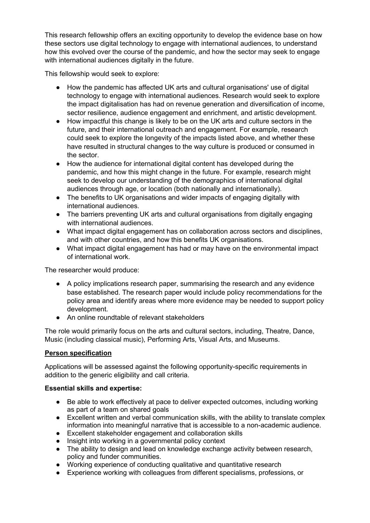This research fellowship offers an exciting opportunity to develop the evidence base on how these sectors use digital technology to engage with international audiences, to understand how this evolved over the course of the pandemic, and how the sector may seek to engage with international audiences digitally in the future.

This fellowship would seek to explore:

- How the pandemic has affected UK arts and cultural organisations' use of digital technology to engage with international audiences. Research would seek to explore the impact digitalisation has had on revenue generation and diversification of income, sector resilience, audience engagement and enrichment, and artistic development.
- How impactful this change is likely to be on the UK arts and culture sectors in the future, and their international outreach and engagement. For example, research could seek to explore the longevity of the impacts listed above, and whether these have resulted in structural changes to the way culture is produced or consumed in the sector.
- How the audience for international digital content has developed during the pandemic, and how this might change in the future. For example, research might seek to develop our understanding of the demographics of international digital audiences through age, or location (both nationally and internationally).
- The benefits to UK organisations and wider impacts of engaging digitally with international audiences.
- The barriers preventing UK arts and cultural organisations from digitally engaging with international audiences.
- What impact digital engagement has on collaboration across sectors and disciplines, and with other countries, and how this benefits UK organisations.
- What impact digital engagement has had or may have on the environmental impact of international work.

The researcher would produce:

- A policy implications research paper, summarising the research and any evidence base established. The research paper would include policy recommendations for the policy area and identify areas where more evidence may be needed to support policy development.
- An online roundtable of relevant stakeholders

The role would primarily focus on the arts and cultural sectors, including, Theatre, Dance, Music (including classical music), Performing Arts, Visual Arts, and Museums.

## **Person specification**

Applications will be assessed against the following opportunity-specific requirements in addition to the generic eligibility and call criteria.

#### **Essential skills and expertise:**

- Be able to work effectively at pace to deliver expected outcomes, including working as part of a team on shared goals
- Excellent written and verbal communication skills, with the ability to translate complex information into meaningful narrative that is accessible to a non-academic audience.
- Excellent stakeholder engagement and collaboration skills
- Insight into working in a governmental policy context
- The ability to design and lead on knowledge exchange activity between research, policy and funder communities.
- Working experience of conducting qualitative and quantitative research
- Experience working with colleagues from different specialisms, professions, or